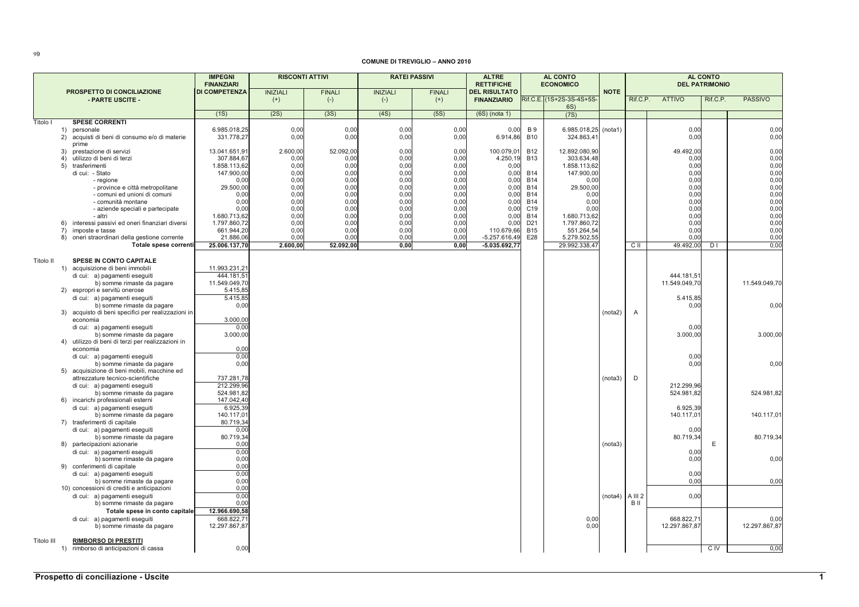## **COMUNE DI TREVIGLIO - ANNO 2010**

|            |                                                                                  | <b>IMPEGNI</b><br><b>FINANZIARI</b> | <b>RISCONTI ATTIVI</b>      |                        | <b>RATEI PASSIVI</b>     |                           | ALTRE<br><b>RETTIFICHE</b>                 |                          | AL CONTO<br><b>ECONOMICO</b>     |             | AL CONTO<br><b>DEL PATRIMONIO</b> |               |                |                |
|------------|----------------------------------------------------------------------------------|-------------------------------------|-----------------------------|------------------------|--------------------------|---------------------------|--------------------------------------------|--------------------------|----------------------------------|-------------|-----------------------------------|---------------|----------------|----------------|
|            | PROSPETTO DI CONCILIAZIONE<br>- PARTE USCITE -                                   | <b>DI COMPETENZA</b>                | <b>INIZIALI</b><br>$^{(+)}$ | <b>FINALI</b><br>$(-)$ | <b>INIZIALI</b><br>$(-)$ | <b>FINALI</b><br>$^{(+)}$ | <b>DEL RISULTATO</b><br><b>FINANZIARIO</b> |                          | Rif.C.E. (1S+2S-3S-4S+5S-<br>6S) | <b>NOTE</b> | Rif.C.P.                          | <b>ATTIVO</b> | Rif.C.P.       | <b>PASSIVO</b> |
|            |                                                                                  | (1S)                                | (2S)                        | (3S)                   | (4S)                     | (5S)                      | $(6S)$ (nota 1)                            |                          | (7S)                             |             |                                   |               |                |                |
| Titolo I   | <b>SPESE CORRENTI</b>                                                            |                                     |                             |                        |                          |                           |                                            |                          |                                  |             |                                   |               |                |                |
|            | 1) personale                                                                     | 6.985.018,25                        | 0,00                        | 0,00                   | 0,00                     | 0,00                      | 0,00                                       | <b>B</b> 9               | 6.985.018,25                     | (nota1)     |                                   | 0,00          |                | 0,00           |
|            | 2) acquisti di beni di consumo e/o di materie                                    | 331.778,27                          | 0,00                        | 0,00                   | 0,00                     | 0,00                      | 6.914,86                                   | <b>B10</b>               | 324.863,4                        |             |                                   | 0,00          |                | 0,00           |
|            | prime<br>3) prestazione di servizi                                               | 13.041.651,91                       | 2.600,00                    | 52.092,00              | 0,00                     | 0,00                      | 100.079,01                                 | <b>B12</b>               | 12.892.080,90                    |             |                                   | 49.492,00     |                | 0,00           |
|            | 4)<br>utilizzo di beni di terzi                                                  | 307.884,67                          | 0,00                        | 0,00                   | 0,00                     | 0,00                      | 4.250,19                                   | <b>B13</b>               | 303.634,48                       |             |                                   | 0,00          |                | 0,00           |
|            | 5) trasferimenti                                                                 | 1.858.113,62                        | 0,00                        | 0,00                   | 0,00                     | 0,00                      | 0,00                                       |                          | 1.858.113,62                     |             |                                   | 0,00          |                | 0,00           |
|            | di cui: - Stato                                                                  | 147.900,00                          | 0,00                        | 0,00                   | 0,00                     | 0,00                      | 0,00                                       | <b>B14</b>               | 147.900,00                       |             |                                   | 0,00          |                | 0,00           |
|            | - regione                                                                        | 0,00                                | 0,00                        | 0,00                   | 0,00                     | 0,00                      | 0,00                                       | <b>B14</b>               | 0,00                             |             |                                   | 0,00          |                | 0,00           |
|            | - province e città metropolitane                                                 | 29.500,00                           | 0,00                        | 0,00                   | 0,00                     | 0,00                      | 0,00                                       | <b>B14</b>               | 29.500,00                        |             |                                   | 0,00          |                | 0,00           |
|            | - comuni ed unioni di comuni<br>- comunità montane                               | 0,00<br>0.00                        | 0,00<br>0,00                | 0,00<br>0,00           | 0,00<br>0,00             | 0,00<br>0,00              | 0,00<br>0.00                               | <b>B14</b><br><b>B14</b> | 0,00<br>0,00                     |             |                                   | 0,00<br>0.00  |                | 0,00<br>0,00   |
|            | - aziende speciali e partecipate                                                 | 0.00                                | 0,00                        | 0,00                   | 0.00                     | 0,00                      | 0.00                                       | C <sub>19</sub>          | 0.00                             |             |                                   | 0,00          |                | 0,00           |
|            | - altri                                                                          | 1.680.713,62                        | 0,00                        | 0,00                   | 0,00                     | 0,00                      | 0.00                                       | <b>B14</b>               | 1.680.713,62                     |             |                                   | 0.00          |                | 0,00           |
|            | 6) interessi passivi ed oneri finanziari diversi                                 | 1.797.860,72                        | 0,00                        | 0,00                   | 0,00                     | 0,00                      | 0.00                                       | D <sub>21</sub>          | 1.797.860,72                     |             |                                   | 0.00          |                | 0,00           |
|            | 7) imposte e tasse                                                               | 661.944,20                          | 0,00                        | 0,00                   | 0,00                     | 0,00                      | 110.679.66                                 | <b>B15</b>               | 551.264,54                       |             |                                   | 0.00          |                | 0,00           |
|            | 8) oneri straordinari della gestione corrente                                    | 21.886,06                           | 0,00                        | 0,00                   | 0,00                     | 0,00                      | $-5.257.616,49$                            | E28                      | 5.279.502,55                     |             |                                   | 0.00          |                | 0,00           |
|            | Totale spese correnti                                                            | 25.006.137,70                       | 2.600,00                    | 52.092,00              | 0.00                     | 0.00                      | $-5.035.692,77$                            |                          | 29.992.338,47                    |             | C II                              | 49.492,00     | D <sub>1</sub> | 0,00           |
| Titolo II  | <b>SPESE IN CONTO CAPITALE</b>                                                   |                                     |                             |                        |                          |                           |                                            |                          |                                  |             |                                   |               |                |                |
|            | 1) acquisizione di beni immobili                                                 | 11.993.231,21                       |                             |                        |                          |                           |                                            |                          |                                  |             |                                   |               |                |                |
|            | di cui: a) pagamenti eseguiti                                                    | 444.181.51                          |                             |                        |                          |                           |                                            |                          |                                  |             |                                   | 444.181.5     |                |                |
|            | b) somme rimaste da pagare                                                       | 11.549.049,70                       |                             |                        |                          |                           |                                            |                          |                                  |             |                                   | 11.549.049,70 |                | 11.549.049,70  |
|            | 2) espropri e servitù onerose                                                    | 5.415,85                            |                             |                        |                          |                           |                                            |                          |                                  |             |                                   |               |                |                |
|            | di cui: a) pagamenti eseguiti                                                    | 5.415.85                            |                             |                        |                          |                           |                                            |                          |                                  |             |                                   | 5.415,85      |                |                |
|            | b) somme rimaste da pagare<br>3) acquisto di beni specifici per realizzazioni in | 0,00                                |                             |                        |                          |                           |                                            |                          |                                  | (nota2)     | $\mathsf{A}$                      | 0,00          |                | 0,00           |
|            | economia                                                                         | 3.000,00                            |                             |                        |                          |                           |                                            |                          |                                  |             |                                   |               |                |                |
|            | di cui: a) pagamenti eseguiti                                                    | 0.00                                |                             |                        |                          |                           |                                            |                          |                                  |             |                                   | 0.00          |                |                |
|            | b) somme rimaste da pagare                                                       | 3.000,00                            |                             |                        |                          |                           |                                            |                          |                                  |             |                                   | 3.000,00      |                | 3.000,00       |
|            | 4) utilizzo di beni di terzi per realizzazioni in                                |                                     |                             |                        |                          |                           |                                            |                          |                                  |             |                                   |               |                |                |
|            | economia<br>di cui: a) pagamenti eseguiti                                        | 0,00<br>0,00                        |                             |                        |                          |                           |                                            |                          |                                  |             |                                   | 0,00          |                |                |
|            | b) somme rimaste da pagare                                                       | 0,00                                |                             |                        |                          |                           |                                            |                          |                                  |             |                                   | 0.00          |                | 0,00           |
|            | 5) acquisizione di beni mobili, macchine ed                                      |                                     |                             |                        |                          |                           |                                            |                          |                                  |             |                                   |               |                |                |
|            | attrezzature tecnico-scientifiche                                                | 737.281,78                          |                             |                        |                          |                           |                                            |                          |                                  | (nota3)     | D                                 |               |                |                |
|            | di cui: a) pagamenti eseguiti                                                    | 212.299,96                          |                             |                        |                          |                           |                                            |                          |                                  |             |                                   | 212.299,96    |                |                |
|            | b) somme rimaste da pagare                                                       | 524.981,82<br>147.042,40            |                             |                        |                          |                           |                                            |                          |                                  |             |                                   | 524.981,82    |                | 524.981,82     |
|            | 6) incarichi professionali esterni<br>di cui: a) pagamenti eseguiti              | 6.925,39                            |                             |                        |                          |                           |                                            |                          |                                  |             |                                   | 6.925,39      |                |                |
|            | b) somme rimaste da pagare                                                       | 140.117,01                          |                             |                        |                          |                           |                                            |                          |                                  |             |                                   | 140.117,0     |                | 140.117,01     |
|            | 7) trasferimenti di capitale                                                     | 80.719,34                           |                             |                        |                          |                           |                                            |                          |                                  |             |                                   |               |                |                |
|            | di cui: a) pagamenti eseguiti                                                    | 0,00                                |                             |                        |                          |                           |                                            |                          |                                  |             |                                   | 0,00          |                |                |
|            | b) somme rimaste da pagare                                                       | 80.719,34                           |                             |                        |                          |                           |                                            |                          |                                  |             |                                   | 80.719,34     |                | 80.719,34      |
|            | 8) partecipazioni azionarie                                                      | 0,00                                |                             |                        |                          |                           |                                            |                          |                                  | (nota3)     |                                   |               | E              |                |
|            | di cui: a) pagamenti eseguiti<br>b) somme rimaste da pagare                      | 0,00<br>0,00                        |                             |                        |                          |                           |                                            |                          |                                  |             |                                   | 0,00<br>0,00  |                | 0,00           |
|            | 9) conferimenti di capitale                                                      | 0,00                                |                             |                        |                          |                           |                                            |                          |                                  |             |                                   |               |                |                |
|            | di cui: a) pagamenti eseguiti                                                    | 0,00                                |                             |                        |                          |                           |                                            |                          |                                  |             |                                   | 0.00          |                |                |
|            | b) somme rimaste da pagare                                                       | 0,00                                |                             |                        |                          |                           |                                            |                          |                                  |             |                                   | 0,00          |                | 0,00           |
|            | 10) concessioni di crediti e anticipazioni                                       | 0,00                                |                             |                        |                          |                           |                                            |                          |                                  |             |                                   |               |                |                |
|            | di cui: a) pagamenti eseguiti                                                    | 0,00                                |                             |                        |                          |                           |                                            |                          |                                  |             | $(nota4)$ A III 2                 | 0,00          |                |                |
|            | b) somme rimaste da pagare                                                       | 0,00<br>12.966.690,58               |                             |                        |                          |                           |                                            |                          |                                  |             | B II                              |               |                |                |
|            | Totale spese in conto capitale<br>di cui: a) pagamenti eseguiti                  | 668.822,7                           |                             |                        |                          |                           |                                            |                          | 0,00                             |             |                                   | 668.822,7     |                | 0.00           |
|            | b) somme rimaste da pagare                                                       | 12.297.867,87                       |                             |                        |                          |                           |                                            |                          | 0,00                             |             |                                   | 12.297.867,87 |                | 12.297.867,87  |
|            |                                                                                  |                                     |                             |                        |                          |                           |                                            |                          |                                  |             |                                   |               |                |                |
| Titolo III | <b>RIMBORSO DI PRESTITI</b>                                                      |                                     |                             |                        |                          |                           |                                            |                          |                                  |             |                                   |               |                |                |
|            | 1) rimborso di anticipazioni di cassa                                            | 0,00                                |                             |                        |                          |                           |                                            |                          |                                  |             |                                   |               | C <sub>N</sub> | 0,00           |